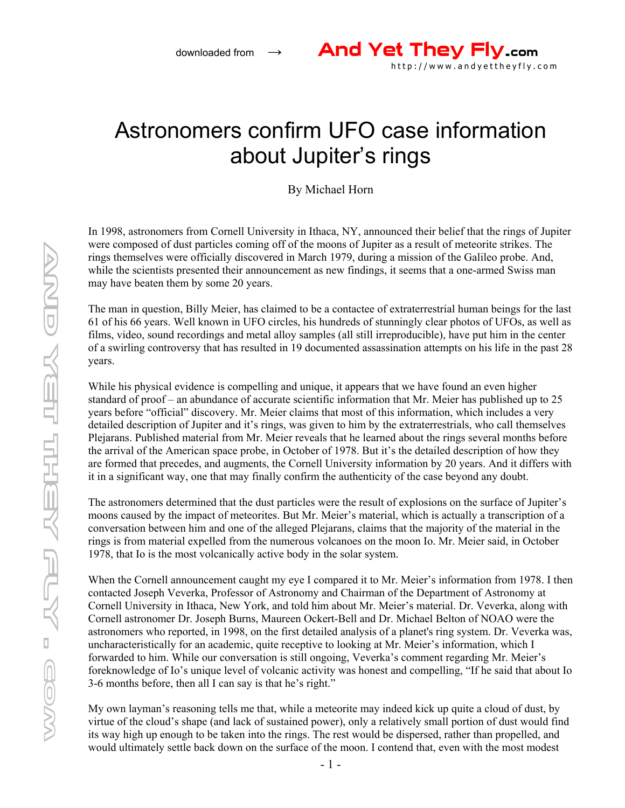## Astronomers confirm UFO case information about Jupiter's rings

By Michael Horn

In 1998, astronomers from Cornell University in Ithaca, NY, announced their belief that the rings of Jupiter were composed of dust particles coming off of the moons of Jupiter as a result of meteorite strikes. The rings themselves were officially discovered in March 1979, during a mission of the Galileo probe. And, while the scientists presented their announcement as new findings, it seems that a one-armed Swiss man may have beaten them by some 20 years.

The man in question, Billy Meier, has claimed to be a contactee of extraterrestrial human beings for the last 61 of his 66 years. Well known in UFO circles, his hundreds of stunningly clear photos of UFOs, as well as films, video, sound recordings and metal alloy samples (all still irreproducible), have put him in the center of a swirling controversy that has resulted in 19 documented assassination attempts on his life in the past 28 years.

While his physical evidence is compelling and unique, it appears that we have found an even higher standard of proof – an abundance of accurate scientific information that Mr. Meier has published up to 25 years before "official" discovery. Mr. Meier claims that most of this information, which includes a very detailed description of Jupiter and it's rings, was given to him by the extraterrestrials, who call themselves Plejarans. Published material from Mr. Meier reveals that he learned about the rings several months before the arrival of the American space probe, in October of 1978. But it's the detailed description of how they are formed that precedes, and augments, the Cornell University information by 20 years. And it differs with it in a significant way, one that may finally confirm the authenticity of the case beyond any doubt.

The astronomers determined that the dust particles were the result of explosions on the surface of Jupiter's moons caused by the impact of meteorites. But Mr. Meier's material, which is actually a transcription of a conversation between him and one of the alleged Plejarans, claims that the majority of the material in the rings is from material expelled from the numerous volcanoes on the moon Io. Mr. Meier said, in October 1978, that Io is the most volcanically active body in the solar system.

When the Cornell announcement caught my eye I compared it to Mr. Meier's information from 1978. I then contacted Joseph Veverka, Professor of Astronomy and Chairman of the Department of Astronomy at Cornell University in Ithaca, New York, and told him about Mr. Meier's material. Dr. Veverka, along with Cornell astronomer Dr. Joseph Burns, Maureen Ockert-Bell and Dr. Michael Belton of NOAO were the astronomers who reported, in 1998, on the first detailed analysis of a planet's ring system. Dr. Veverka was, uncharacteristically for an academic, quite receptive to looking at Mr. Meier's information, which I forwarded to him. While our conversation is still ongoing, Veverka's comment regarding Mr. Meier's foreknowledge of Io's unique level of volcanic activity was honest and compelling, "If he said that about Io 3-6 months before, then all I can say is that he's right."

My own layman's reasoning tells me that, while a meteorite may indeed kick up quite a cloud of dust, by virtue of the cloud's shape (and lack of sustained power), only a relatively small portion of dust would find its way high up enough to be taken into the rings. The rest would be dispersed, rather than propelled, and would ultimately settle back down on the surface of the moon. I contend that, even with the most modest